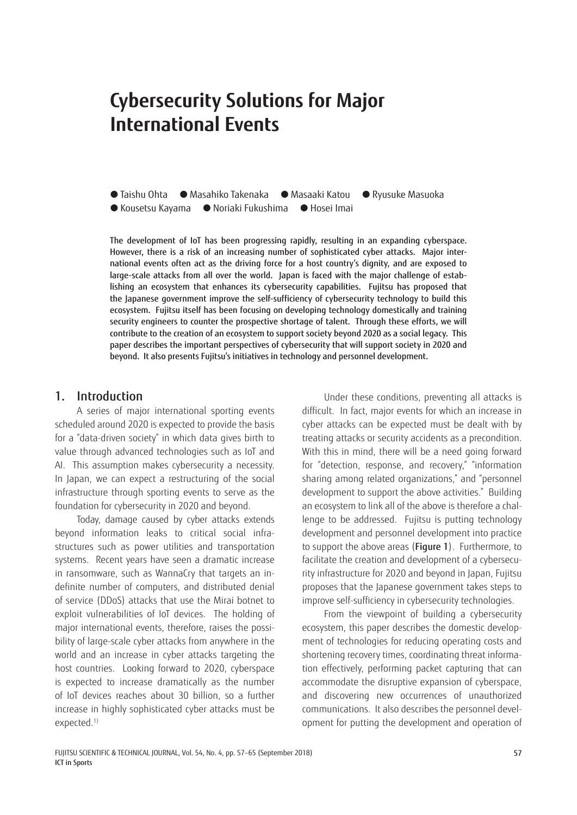# **Cybersecurity Solutions for Major International Events**

 Taishu Ohta Masahiko Takenaka Masaaki Katou Ryusuke Masuoka ● Kousetsu Kayama ● Noriaki Fukushima ● Hosei Imai

The development of IoT has been progressing rapidly, resulting in an expanding cyberspace. However, there is a risk of an increasing number of sophisticated cyber attacks. Major international events often act as the driving force for a host country's dignity, and are exposed to large-scale attacks from all over the world. Japan is faced with the major challenge of establishing an ecosystem that enhances its cybersecurity capabilities. Fujitsu has proposed that the Japanese government improve the self-sufficiency of cybersecurity technology to build this ecosystem. Fujitsu itself has been focusing on developing technology domestically and training security engineers to counter the prospective shortage of talent. Through these efforts, we will contribute to the creation of an ecosystem to support society beyond 2020 as a social legacy. This paper describes the important perspectives of cybersecurity that will support society in 2020 and beyond. It also presents Fujitsu's initiatives in technology and personnel development.

#### 1. Introduction

A series of major international sporting events scheduled around 2020 is expected to provide the basis for a "data-driven society" in which data gives birth to value through advanced technologies such as IoT and AI. This assumption makes cybersecurity a necessity. In Japan, we can expect a restructuring of the social infrastructure through sporting events to serve as the foundation for cybersecurity in 2020 and beyond.

Today, damage caused by cyber attacks extends beyond information leaks to critical social infrastructures such as power utilities and transportation systems. Recent years have seen a dramatic increase in ransomware, such as WannaCry that targets an indefinite number of computers, and distributed denial of service (DDoS) attacks that use the Mirai botnet to exploit vulnerabilities of IoT devices. The holding of major international events, therefore, raises the possibility of large-scale cyber attacks from anywhere in the world and an increase in cyber attacks targeting the host countries. Looking forward to 2020, cyberspace is expected to increase dramatically as the number of IoT devices reaches about 30 billion, so a further increase in highly sophisticated cyber attacks must be expected.<sup>1)</sup>

Under these conditions, preventing all attacks is difficult. In fact, major events for which an increase in cyber attacks can be expected must be dealt with by treating attacks or security accidents as a precondition. With this in mind, there will be a need going forward for "detection, response, and recovery," "information sharing among related organizations," and "personnel development to support the above activities." Building an ecosystem to link all of the above is therefore a challenge to be addressed. Fujitsu is putting technology development and personnel development into practice to support the above areas (Figure 1). Furthermore, to facilitate the creation and development of a cybersecurity infrastructure for 2020 and beyond in Japan, Fujitsu proposes that the Japanese government takes steps to improve self-sufficiency in cybersecurity technologies.

From the viewpoint of building a cybersecurity ecosystem, this paper describes the domestic development of technologies for reducing operating costs and shortening recovery times, coordinating threat information effectively, performing packet capturing that can accommodate the disruptive expansion of cyberspace, and discovering new occurrences of unauthorized communications. It also describes the personnel development for putting the development and operation of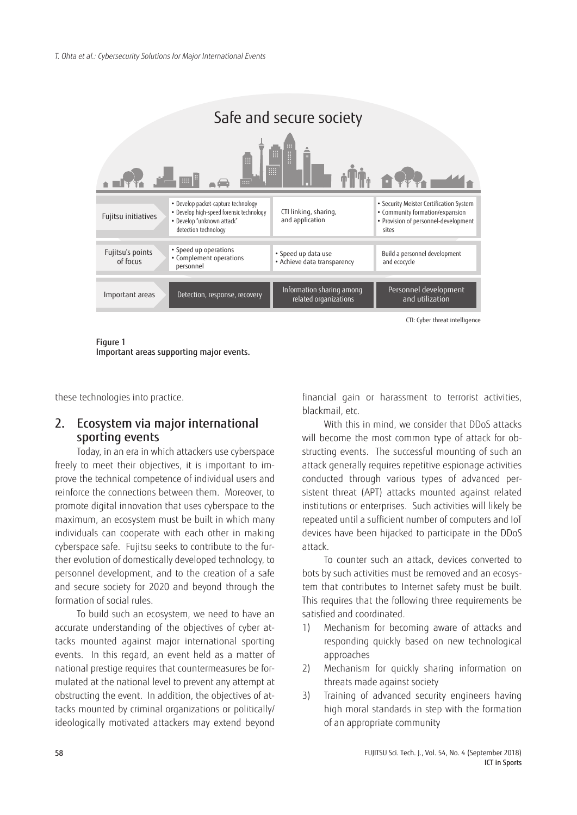

Figure 1

Important areas supporting major events.

these technologies into practice.

# 2. Ecosystem via major international sporting events

Today, in an era in which attackers use cyberspace freely to meet their objectives, it is important to improve the technical competence of individual users and reinforce the connections between them. Moreover, to promote digital innovation that uses cyberspace to the maximum, an ecosystem must be built in which many individuals can cooperate with each other in making cyberspace safe. Fujitsu seeks to contribute to the further evolution of domestically developed technology, to personnel development, and to the creation of a safe and secure society for 2020 and beyond through the formation of social rules.

To build such an ecosystem, we need to have an accurate understanding of the objectives of cyber attacks mounted against major international sporting events. In this regard, an event held as a matter of national prestige requires that countermeasures be formulated at the national level to prevent any attempt at obstructing the event. In addition, the objectives of attacks mounted by criminal organizations or politically/ ideologically motivated attackers may extend beyond financial gain or harassment to terrorist activities, blackmail, etc.

With this in mind, we consider that DDoS attacks will become the most common type of attack for obstructing events. The successful mounting of such an attack generally requires repetitive espionage activities conducted through various types of advanced persistent threat (APT) attacks mounted against related institutions or enterprises. Such activities will likely be repeated until a sufficient number of computers and IoT devices have been hijacked to participate in the DDoS attack.

To counter such an attack, devices converted to bots by such activities must be removed and an ecosystem that contributes to Internet safety must be built. This requires that the following three requirements be satisfied and coordinated.

- 1) Mechanism for becoming aware of attacks and responding quickly based on new technological approaches
- 2) Mechanism for quickly sharing information on threats made against society
- 3) Training of advanced security engineers having high moral standards in step with the formation of an appropriate community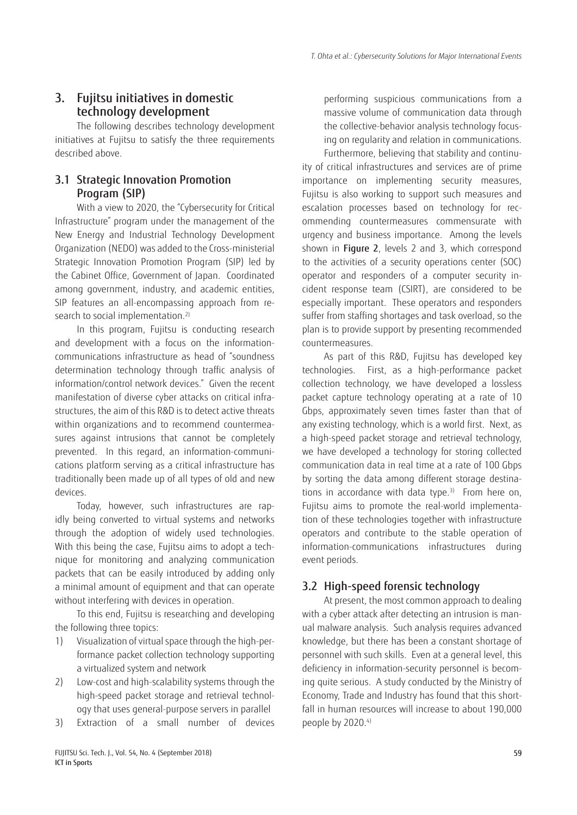# 3. Fujitsu initiatives in domestic technology development

The following describes technology development initiatives at Fujitsu to satisfy the three requirements described above.

# 3.1 Strategic Innovation Promotion Program (SIP)

With a view to 2020, the "Cybersecurity for Critical Infrastructure" program under the management of the New Energy and Industrial Technology Development Organization (NEDO) was added to the Cross-ministerial Strategic Innovation Promotion Program (SIP) led by the Cabinet Office, Government of Japan. Coordinated among government, industry, and academic entities, SIP features an all-encompassing approach from research to social implementation.<sup>2)</sup>

In this program, Fujitsu is conducting research and development with a focus on the informationcommunications infrastructure as head of "soundness determination technology through traffic analysis of information/control network devices." Given the recent manifestation of diverse cyber attacks on critical infrastructures, the aim of this R&D is to detect active threats within organizations and to recommend countermeasures against intrusions that cannot be completely prevented. In this regard, an information-communications platform serving as a critical infrastructure has traditionally been made up of all types of old and new devices.

Today, however, such infrastructures are rapidly being converted to virtual systems and networks through the adoption of widely used technologies. With this being the case, Fujitsu aims to adopt a technique for monitoring and analyzing communication packets that can be easily introduced by adding only a minimal amount of equipment and that can operate without interfering with devices in operation.

To this end, Fujitsu is researching and developing the following three topics:

- 1) Visualization of virtual space through the high-performance packet collection technology supporting a virtualized system and network
- 2) Low-cost and high-scalability systems through the high-speed packet storage and retrieval technology that uses general-purpose servers in parallel
- 3) Extraction of a small number of devices

performing suspicious communications from a massive volume of communication data through the collective-behavior analysis technology focusing on regularity and relation in communications.

Furthermore, believing that stability and continuity of critical infrastructures and services are of prime importance on implementing security measures, Fujitsu is also working to support such measures and escalation processes based on technology for recommending countermeasures commensurate with urgency and business importance. Among the levels shown in Figure 2, levels 2 and 3, which correspond to the activities of a security operations center (SOC) operator and responders of a computer security incident response team (CSIRT), are considered to be especially important. These operators and responders suffer from staffing shortages and task overload, so the plan is to provide support by presenting recommended countermeasures.

As part of this R&D, Fujitsu has developed key technologies. First, as a high-performance packet collection technology, we have developed a lossless packet capture technology operating at a rate of 10 Gbps, approximately seven times faster than that of any existing technology, which is a world first. Next, as a high-speed packet storage and retrieval technology, we have developed a technology for storing collected communication data in real time at a rate of 100 Gbps by sorting the data among different storage destinations in accordance with data type. $3$ ) From here on, Fujitsu aims to promote the real-world implementation of these technologies together with infrastructure operators and contribute to the stable operation of information-communications infrastructures during event periods.

# 3.2 High-speed forensic technology

At present, the most common approach to dealing with a cyber attack after detecting an intrusion is manual malware analysis. Such analysis requires advanced knowledge, but there has been a constant shortage of personnel with such skills. Even at a general level, this deficiency in information-security personnel is becoming quite serious. A study conducted by the Ministry of Economy, Trade and Industry has found that this shortfall in human resources will increase to about 190,000 people by 2020.4)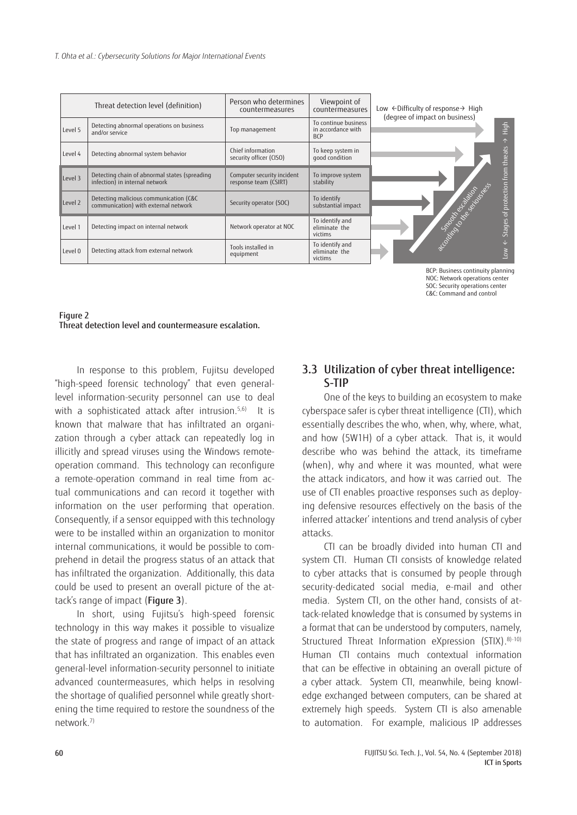|                                   | Threat detection level (definition)                                             | Person who determines<br>countermeasures            | Viewpoint of<br>countermeasures                          | Low ←Difficulty of response→ High<br>(degree of impact on business) |
|-----------------------------------|---------------------------------------------------------------------------------|-----------------------------------------------------|----------------------------------------------------------|---------------------------------------------------------------------|
| Level 5                           | Detecting abnormal operations on business<br>and/or service                     | Top management                                      | To continue business<br>in accordance with<br><b>BCP</b> | High<br>$\uparrow$                                                  |
| Level 4                           | Detecting abnormal system behavior                                              | Chief information<br>security officer (CISO)        | To keep system in<br>good condition                      |                                                                     |
| Level 3                           | Detecting chain of abnormal states (spreading<br>infection) in internal network | Computer security incident<br>response team (CSIRT) | To improve system<br>stability                           | Stages of protection from threats                                   |
| Level 2                           | Detecting malicious communication (C&C<br>communication) with external network  | Security operator (SOC)                             | To identify<br>substantial impact                        |                                                                     |
| Level 1                           | Detecting impact on internal network                                            | Network operator at NOC                             | To identify and<br>eliminate the<br>victims              | Notation Strategy River                                             |
| Level 0                           | Detecting attack from external network                                          | Tools installed in<br>equipment                     | To identify and<br>eliminate the<br>victims              | $\overline{\phantom{0}}$                                            |
| BCP: Business continuity planning |                                                                                 |                                                     |                                                          |                                                                     |



In response to this problem, Fujitsu developed "high-speed forensic technology" that even generallevel information-security personnel can use to deal with a sophisticated attack after intrusion.<sup>5,6)</sup> It is known that malware that has infiltrated an organization through a cyber attack can repeatedly log in illicitly and spread viruses using the Windows remoteoperation command. This technology can reconfigure a remote-operation command in real time from actual communications and can record it together with information on the user performing that operation. Consequently, if a sensor equipped with this technology were to be installed within an organization to monitor internal communications, it would be possible to comprehend in detail the progress status of an attack that has infiltrated the organization. Additionally, this data could be used to present an overall picture of the attack's range of impact (Figure 3).

In short, using Fujitsu's high-speed forensic technology in this way makes it possible to visualize the state of progress and range of impact of an attack that has infiltrated an organization. This enables even general-level information-security personnel to initiate advanced countermeasures, which helps in resolving the shortage of qualified personnel while greatly shortening the time required to restore the soundness of the network.7)

### 3.3 Utilization of cyber threat intelligence: S-TIP

NOC: Network operations center SOC: Security operations center C&C: Command and control

One of the keys to building an ecosystem to make cyberspace safer is cyber threat intelligence (CTI), which essentially describes the who, when, why, where, what, and how (5W1H) of a cyber attack. That is, it would describe who was behind the attack, its timeframe (when), why and where it was mounted, what were the attack indicators, and how it was carried out. The use of CTI enables proactive responses such as deploying defensive resources effectively on the basis of the inferred attacker' intentions and trend analysis of cyber attacks.

CTI can be broadly divided into human CTI and system CTI. Human CTI consists of knowledge related to cyber attacks that is consumed by people through security-dedicated social media, e-mail and other media. System CTI, on the other hand, consists of attack-related knowledge that is consumed by systems in a format that can be understood by computers, namely, Structured Threat Information eXpression (STIX). 8)-10) Human CTI contains much contextual information that can be effective in obtaining an overall picture of a cyber attack. System CTI, meanwhile, being knowledge exchanged between computers, can be shared at extremely high speeds. System CTI is also amenable to automation. For example, malicious IP addresses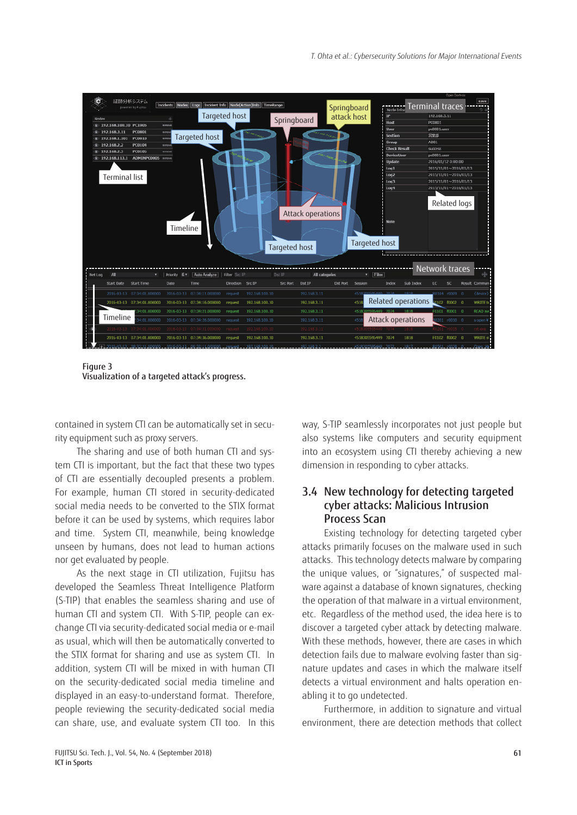

Figure 3 Visualization of a targeted attack's progress.

contained in system CTI can be automatically set in security equipment such as proxy servers.

The sharing and use of both human CTI and system CTI is important, but the fact that these two types of CTI are essentially decoupled presents a problem. For example, human CTI stored in security-dedicated social media needs to be converted to the STIX format before it can be used by systems, which requires labor and time. System CTI, meanwhile, being knowledge unseen by humans, does not lead to human actions nor get evaluated by people.

As the next stage in CTI utilization, Fujitsu has developed the Seamless Threat Intelligence Platform (S-TIP) that enables the seamless sharing and use of human CTI and system CTI. With S-TIP, people can exchange CTI via security-dedicated social media or e-mail as usual, which will then be automatically converted to the STIX format for sharing and use as system CTI. In addition, system CTI will be mixed in with human CTI on the security-dedicated social media timeline and displayed in an easy-to-understand format. Therefore, people reviewing the security-dedicated social media can share, use, and evaluate system CTI too. In this

way, S-TIP seamlessly incorporates not just people but also systems like computers and security equipment into an ecosystem using CTI thereby achieving a new dimension in responding to cyber attacks.

### 3.4 New technology for detecting targeted cyber attacks: Malicious Intrusion Process Scan

Existing technology for detecting targeted cyber attacks primarily focuses on the malware used in such attacks. This technology detects malware by comparing the unique values, or "signatures," of suspected malware against a database of known signatures, checking the operation of that malware in a virtual environment, etc. Regardless of the method used, the idea here is to discover a targeted cyber attack by detecting malware. With these methods, however, there are cases in which detection fails due to malware evolving faster than signature updates and cases in which the malware itself detects a virtual environment and halts operation enabling it to go undetected.

Furthermore, in addition to signature and virtual environment, there are detection methods that collect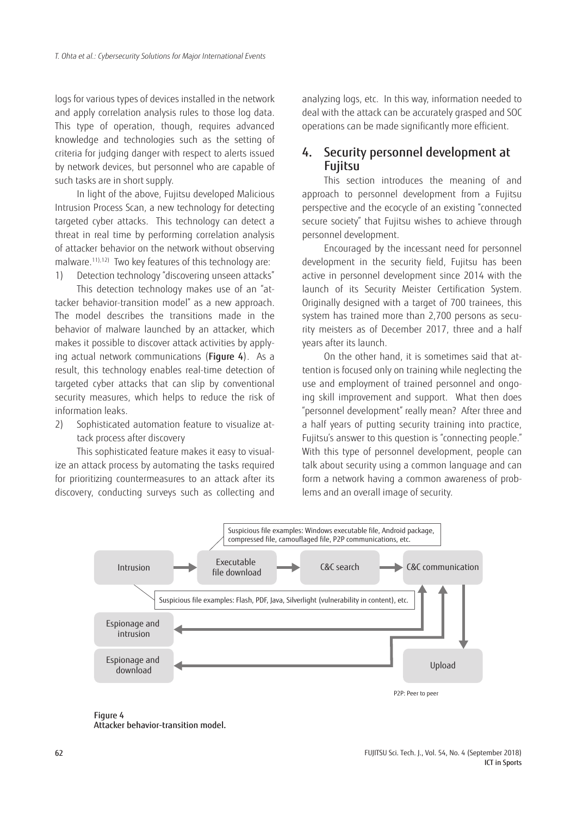logs for various types of devices installed in the network and apply correlation analysis rules to those log data. This type of operation, though, requires advanced knowledge and technologies such as the setting of criteria for judging danger with respect to alerts issued by network devices, but personnel who are capable of such tasks are in short supply.

In light of the above, Fujitsu developed Malicious Intrusion Process Scan, a new technology for detecting targeted cyber attacks. This technology can detect a threat in real time by performing correlation analysis of attacker behavior on the network without observing malware.11),12) Two key features of this technology are:

1) Detection technology "discovering unseen attacks"

This detection technology makes use of an "attacker behavior-transition model" as a new approach. The model describes the transitions made in the behavior of malware launched by an attacker, which makes it possible to discover attack activities by applying actual network communications (Figure 4). As a result, this technology enables real-time detection of targeted cyber attacks that can slip by conventional security measures, which helps to reduce the risk of information leaks.

2) Sophisticated automation feature to visualize attack process after discovery

This sophisticated feature makes it easy to visualize an attack process by automating the tasks required for prioritizing countermeasures to an attack after its discovery, conducting surveys such as collecting and

analyzing logs, etc. In this way, information needed to deal with the attack can be accurately grasped and SOC operations can be made significantly more efficient.

# 4. Security personnel development at Fujitsu

This section introduces the meaning of and approach to personnel development from a Fujitsu perspective and the ecocycle of an existing "connected secure society" that Fujitsu wishes to achieve through personnel development.

Encouraged by the incessant need for personnel development in the security field, Fujitsu has been active in personnel development since 2014 with the launch of its Security Meister Certification System. Originally designed with a target of 700 trainees, this system has trained more than 2,700 persons as security meisters as of December 2017, three and a half years after its launch.

On the other hand, it is sometimes said that attention is focused only on training while neglecting the use and employment of trained personnel and ongoing skill improvement and support. What then does "personnel development" really mean? After three and a half years of putting security training into practice, Fujitsu's answer to this question is "connecting people." With this type of personnel development, people can talk about security using a common language and can form a network having a common awareness of problems and an overall image of security.



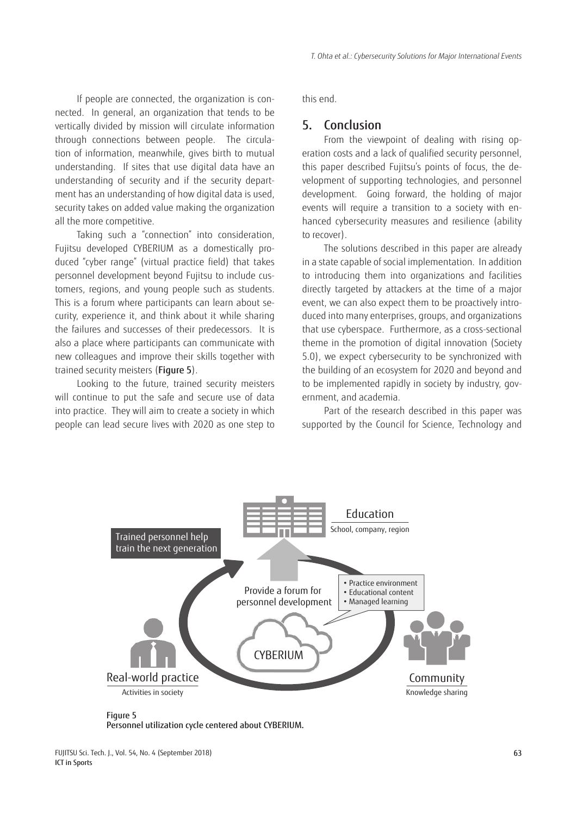If people are connected, the organization is connected. In general, an organization that tends to be vertically divided by mission will circulate information through connections between people. The circulation of information, meanwhile, gives birth to mutual understanding. If sites that use digital data have an understanding of security and if the security department has an understanding of how digital data is used, security takes on added value making the organization all the more competitive.

Taking such a "connection" into consideration, Fujitsu developed CYBERIUM as a domestically produced "cyber range" (virtual practice field) that takes personnel development beyond Fujitsu to include customers, regions, and young people such as students. This is a forum where participants can learn about security, experience it, and think about it while sharing the failures and successes of their predecessors. It is also a place where participants can communicate with new colleagues and improve their skills together with trained security meisters (Figure 5).

Looking to the future, trained security meisters will continue to put the safe and secure use of data into practice. They will aim to create a society in which people can lead secure lives with 2020 as one step to

this end.

#### 5. Conclusion

From the viewpoint of dealing with rising operation costs and a lack of qualified security personnel, this paper described Fujitsu's points of focus, the development of supporting technologies, and personnel development. Going forward, the holding of major events will require a transition to a society with enhanced cybersecurity measures and resilience (ability to recover).

The solutions described in this paper are already in a state capable of social implementation. In addition to introducing them into organizations and facilities directly targeted by attackers at the time of a major event, we can also expect them to be proactively introduced into many enterprises, groups, and organizations that use cyberspace. Furthermore, as a cross-sectional theme in the promotion of digital innovation (Society 5.0), we expect cybersecurity to be synchronized with the building of an ecosystem for 2020 and beyond and to be implemented rapidly in society by industry, government, and academia.

Part of the research described in this paper was supported by the Council for Science, Technology and



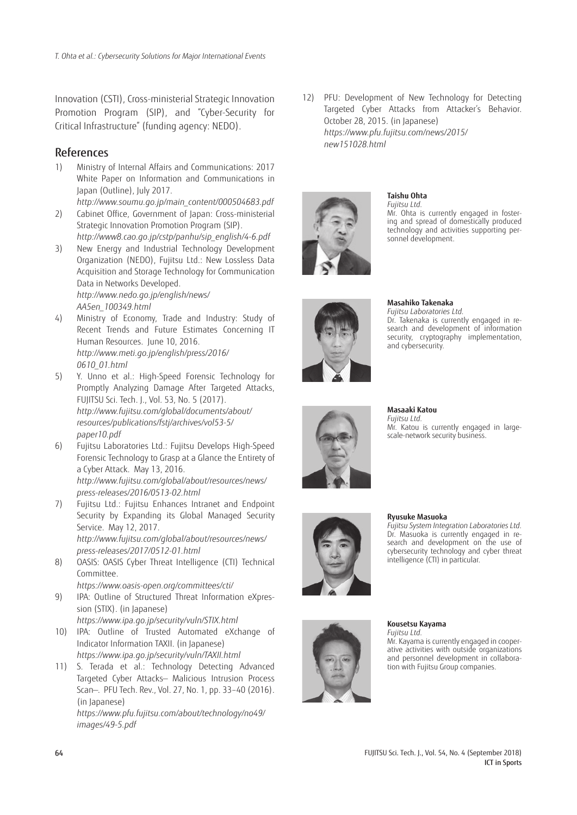Innovation (CSTI), Cross-ministerial Strategic Innovation Promotion Program (SIP), and "Cyber-Security for Critical Infrastructure" (funding agency: NEDO).

#### References

- 1) Ministry of Internal Affairs and Communications: 2017 White Paper on Information and Communications in Japan (Outline), July 2017.
- *[http://www.soumu.go.jp/main\\_content/000504683.pdf](http://www.soumu.go.jp/main_content/000504683.pdf)* 2) Cabinet Office, Government of Japan: Cross-ministerial Strategic Innovation Promotion Program (SIP).
- *[http://www8.cao.go.jp/cstp/panhu/sip\\_english/4-6.pdf](http://www8.cao.go.jp/cstp/panhu/sip_english/4-6.pdf)*
- 3) New Energy and Industrial Technology Development Organization (NEDO), Fujitsu Ltd.: New Lossless Data Acquisition and Storage Technology for Communication Data in Networks Developed. *[http://www.nedo.go.jp/english/news/](http://www.nedo.go.jp/english/news/AA5en_100349.html) AA5en\_100349.html*
- 4) Ministry of Economy, Trade and Industry: Study of Recent Trends and Future Estimates Concerning IT Human Resources. June 10, 2016. *[http://www.meti.go.jp/english/press/2016/](http://www.meti.go.jp/english/press/2016/0610_01.html) 0610\_01.html*
- 5) Y. Unno et al.: High-Speed Forensic Technology for Promptly Analyzing Damage After Targeted Attacks, FUJITSU Sci. Tech. J., Vol. 53, No. 5 (2017). *[http://www.fujitsu.com/global/documents/about/](http://www.fujitsu.com/global/documents/about/resources/publications/fstj/archives/vol53-5/paper10.pdf) resources/publications/fstj/archives/vol53-5/ paper10.pdf*
- 6) Fujitsu Laboratories Ltd.: Fujitsu Develops High-Speed Forensic Technology to Grasp at a Glance the Entirety of a Cyber Attack. May 13, 2016. *[http://www.fujitsu.com/global/about/resources/news/](http://www.fujitsu.com/global/about/resources/news/press-releases/2016/0513-02.html) press-releases/2016/0513-02.html*
- 7) Fujitsu Ltd.: Fujitsu Enhances Intranet and Endpoint Security by Expanding its Global Managed Security Service. May 12, 2017. *[http://www.fujitsu.com/global/about/resources/news/](http://www.fujitsu.com/global/about/resources/news/press-releases/2017/0512-01.html) press-releases/2017/0512-01.html*
- 8) OASIS: OASIS Cyber Threat Intelligence (CTI) Technical Committee.
	- *<https://www.oasis-open.org/committees/cti/>*
- 9) IPA: Outline of Structured Threat Information eXpression (STIX). (in Japanese) *<https://www.ipa.go.jp/security/vuln/STIX.html>*
- 10) IPA: Outline of Trusted Automated eXchange of Indicator Information TAXII. (in Japanese) *<https://www.ipa.go.jp/security/vuln/TAXII.html>*
- 11) S. Terada et al.: Technology Detecting Advanced Targeted Cyber Attacks— Malicious Intrusion Process Scan—. PFU Tech. Rev., Vol. 27, No. 1, pp. 33–40 (2016). (in Japanese) *[https://www.pfu.fujitsu.com/about/technology/no49/](https://www.pfu.fujitsu.com/about/technology/no49/images/49-5.pdf)*

*images/49-5.pdf*

12) PFU: Development of New Technology for Detecting Targeted Cyber Attacks from Attacker's Behavior. October 28, 2015. (in Japanese) *[https://www.pfu.fujitsu.com/news/2015/](https://www.pfu.fujitsu.com/news/2015/new151028.html) new151028.html*



#### **Taishu Ohta**

*Fujitsu Ltd.* Mr. Ohta is currently engaged in fostering and spread of domestically produced technology and activities supporting personnel development.



#### **Masahiko Takenaka**

*Fujitsu Laboratories Ltd.* Dr. Takenaka is currently engaged in research and development of information security, cryptography implementation, and cybersecurity.



#### **Masaaki Katou** *Fujitsu Ltd.*

Mr. Katou is currently engaged in largescale-network security business.



#### **Ryusuke Masuoka**

*Fujitsu System Integration Laboratories Ltd.* Dr. Masuoka is currently engaged in research and development on the use of cybersecurity technology and cyber threat intelligence (CTI) in particular.



#### **Kousetsu Kayama** *Fujitsu Ltd.*

Mr. Kayama is currently engaged in cooperative activities with outside organizations and personnel development in collaboration with Fujitsu Group companies.